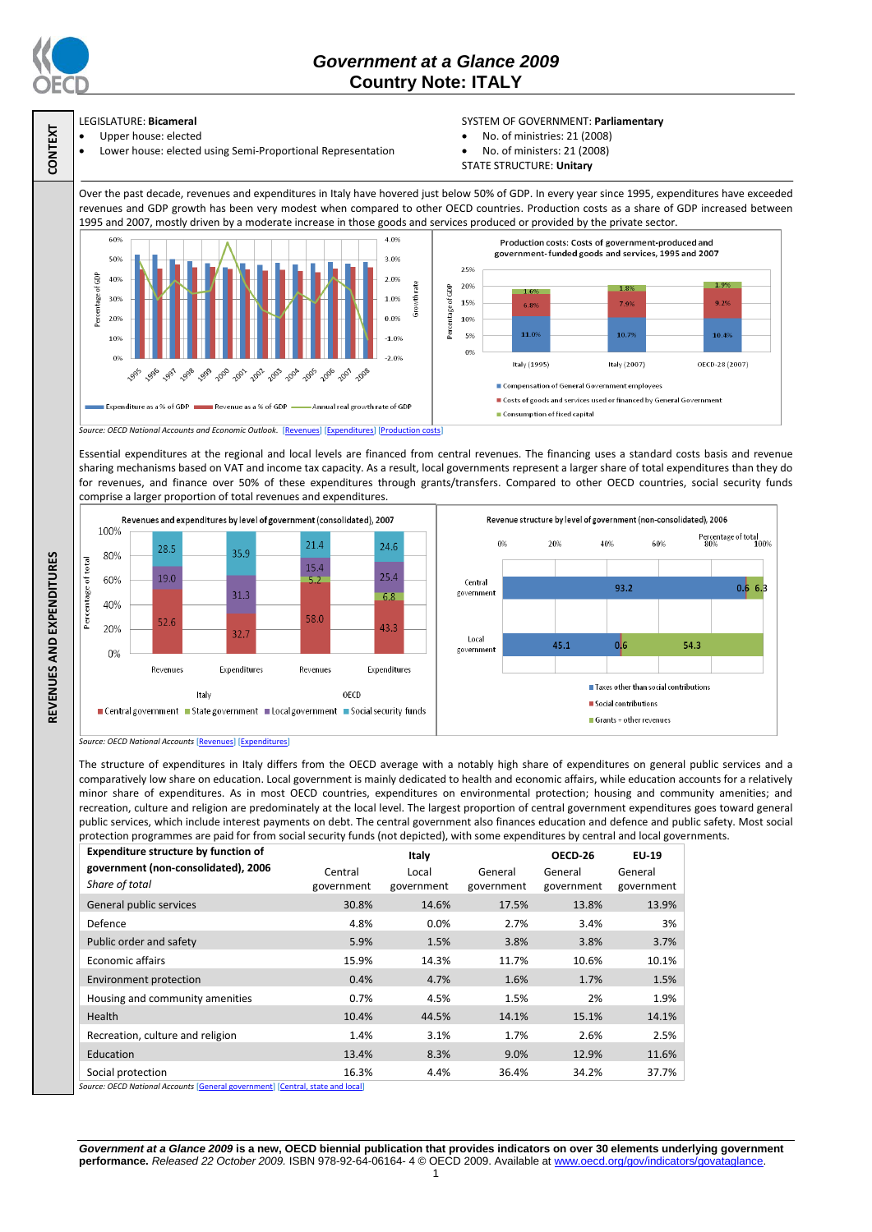

**CONTEXT**

## *Government at a Glance 2009*  **Country Note: ITALY**

# LEGISLATURE: **Bicameral**

Upper house: elected

#### Lower house: elected using Semi-Proportional Representation

### SYSTEM OF GOVERNMENT: **Parliamentary**

- No. of ministries: 21 (2008)
- No. of ministers: 21 (2008)
- STATE STRUCTURE: **Unitary**

Over the past decade, revenues and expenditures in Italy have hovered just below 50% of GDP. In every year since 1995, expenditures have exceeded revenues and GDP growth has been very modest when compared to other OECD countries. Production costs as a share of GDP increased between 1995 and 2007, mostly driven by a moderate increase in those goods and services produced or provided by the private sector.



Essential expenditures at the regional and local levels are financed from central revenues. The financing uses a standard costs basis and revenue sharing mechanisms based on VAT and income tax capacity. As a result, local governments represent a larger share of total expenditures than they do for revenues, and finance over 50% of these expenditures through grants/transfers. Compared to other OECD countries, social security funds comprise a larger proportion of total revenues and expenditures.



*Source: OECD National Accounts* [\[Revenues\]](http://dx.doi.org/10.1787/723418413857) [\[Expenditures\]](http://dx.doi.org/10.1787/723508524025)

The structure of expenditures in Italy differs from the OECD average with a notably high share of expenditures on general public services and a comparatively low share on education. Local government is mainly dedicated to health and economic affairs, while education accounts for a relatively minor share of expenditures. As in most OECD countries, expenditures on environmental protection; housing and community amenities; and recreation, culture and religion are predominately at the local level. The largest proportion of central government expenditures goes toward general public services, which include interest payments on debt. The central government also finances education and defence and public safety. Most social protection programmes are paid for from social security funds (not depicted), with some expenditures by central and local governments.

| <b>Expenditure structure by function of</b>                                                           | Italy                 |                     |                       | OECD-26               | EU-19                 |
|-------------------------------------------------------------------------------------------------------|-----------------------|---------------------|-----------------------|-----------------------|-----------------------|
| government (non-consolidated), 2006<br>Share of total                                                 | Central<br>government | Local<br>government | General<br>government | General<br>government | General<br>government |
| General public services                                                                               | 30.8%                 | 14.6%               | 17.5%                 | 13.8%                 | 13.9%                 |
| Defence                                                                                               | 4.8%                  | 0.0%                | 2.7%                  | 3.4%                  | 3%                    |
| Public order and safety                                                                               | 5.9%                  | 1.5%                | 3.8%                  | 3.8%                  | 3.7%                  |
| <b>Economic affairs</b>                                                                               | 15.9%                 | 14.3%               | 11.7%                 | 10.6%                 | 10.1%                 |
| Environment protection                                                                                | 0.4%                  | 4.7%                | 1.6%                  | 1.7%                  | 1.5%                  |
| Housing and community amenities                                                                       | 0.7%                  | 4.5%                | 1.5%                  | 2%                    | 1.9%                  |
| <b>Health</b>                                                                                         | 10.4%                 | 44.5%               | 14.1%                 | 15.1%                 | 14.1%                 |
| Recreation, culture and religion                                                                      | 1.4%                  | 3.1%                | 1.7%                  | 2.6%                  | 2.5%                  |
| Education                                                                                             | 13.4%                 | 8.3%                | 9.0%                  | 12.9%                 | 11.6%                 |
| Social protection<br>concert OEOD Matter of Accessorie Devices Lacremont and Devices Links and LevelT | 16.3%                 | 4.4%                | 36.4%                 | 34.2%                 | 37.7%                 |

*Source: OECD National Accounts* [\[General government\]](http://dx.doi.org/10.1787/723501646741) [\[Central, state and local\]](http://dx.doi.org/10.1787/723508524025)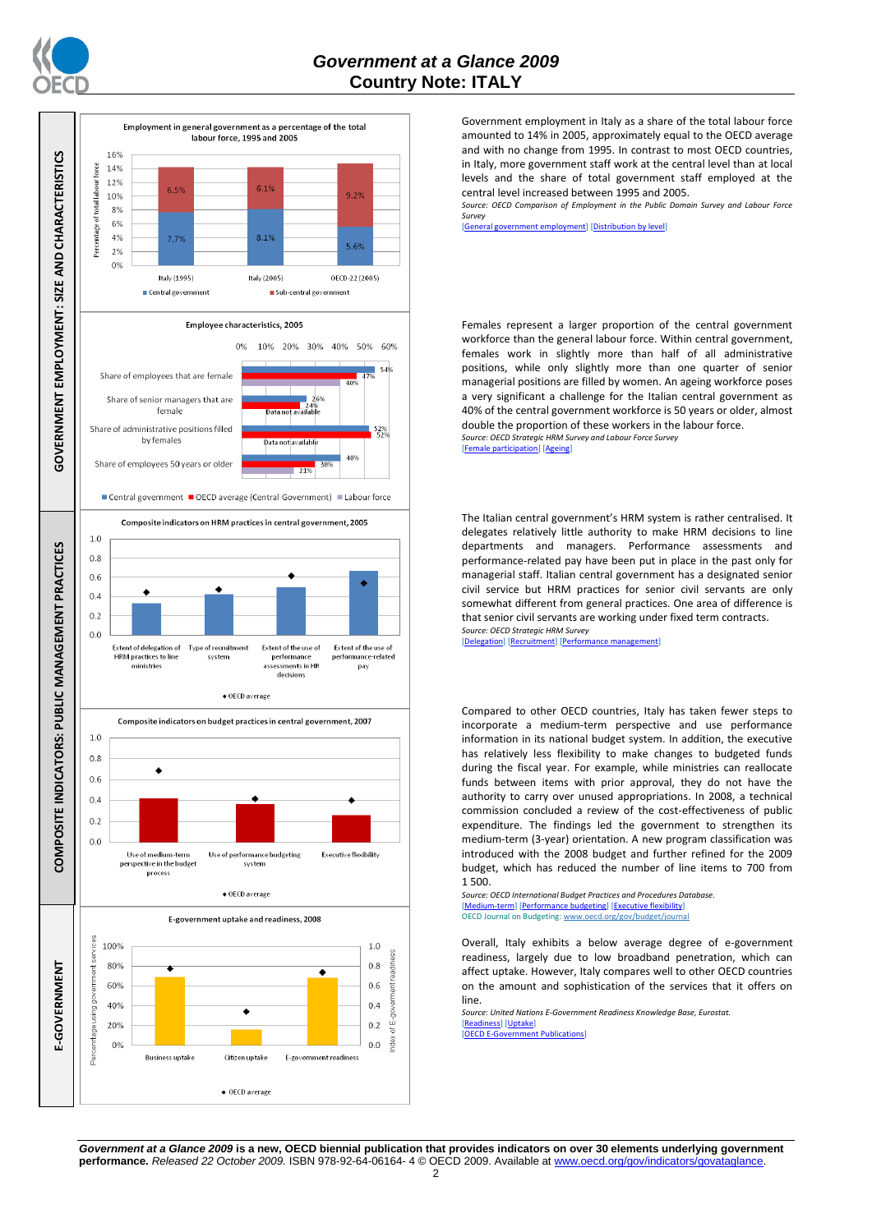



Government employment in Italy as a share of the total labour force amounted to 14% in 2005, approximately equal to the OECD average and with no change from 1995. In contrast to most OECD countries, in Italy, more government staff work at the central level than at local levels and the share of total government staff employed at the central level increased between 1995 and 2005.

*Source: OECD Comparison of Employment in the Public Domain Survey and Labour Force Survey*

ment employment] [\[Distribution by level\]](http://dx.doi.org/10.1787/723627140760)

Females represent a larger proportion of the central government workforce than the general labour force. Within central government, females work in slightly more than half of all administrative positions, while only slightly more than one quarter of senior managerial positions are filled by women. An ageing workforce poses a very significant a challenge for the Italian central government as 40% of the central government workforce is 50 years or older, almost double the proportion of these workers in the labour force. *Source: OECD Strategic HRM Survey and Labour Force Survey*

 $\epsilon$  participation] [\[Ageing\]](http://dx.doi.org/10.1787/723656070327)

The Italian central government's HRM system is rather centralised. It delegates relatively little authority to make HRM decisions to line departments and managers. Performance assessments and performance-related pay have been put in place in the past only for managerial staff. Italian central government has a designated senior civil service but HRM practices for senior civil servants are only somewhat different from general practices. One area of difference is that senior civil servants are working under fixed term contracts. *Source: OECD Strategic HRM Survey* 

[\[Delegation\]](http://dx.doi.org/10.1787/723663744332) [\[Recruitment\]](http://dx.doi.org/10.1787/723668744361) [\[Performance management\]](http://dx.doi.org/10.1787/723750171710)

Compared to other OECD countries, Italy has taken fewer steps to incorporate a medium-term perspective and use performance information in its national budget system. In addition, the executive has relatively less flexibility to make changes to budgeted funds during the fiscal year. For example, while ministries can reallocate funds between items with prior approval, they do not have the authority to carry over unused appropriations. In 2008, a technical commission concluded a review of the cost-effectiveness of public expenditure. The findings led the government to strengthen its medium-term (3-year) orientation. A new program classification was introduced with the 2008 budget and further refined for the 2009 budget, which has reduced the number of line items to 700 from 1 500.

*Source: OECD International Budget Practices and Procedures Database.* [\[Medium-term\]](http://dx.doi.org/10.1787/723856770865) [\[Performance budgeting\]](http://dx.doi.org/10.1787/723863437686) [\[Executive flexibility\]](http://dx.doi.org/10.1787/723876713213) OECD Journal on Budgeting[: www.oecd.org/gov/budget/journal](http://www.oecd.org/gov/budget/journal)

Overall, Italy exhibits a below average degree of e-government readiness, largely due to low broadband penetration, which can affect uptake. However, Italy compares well to other OECD countries on the amount and sophistication of the services that it offers on line.

*Source: United Nations E-Government Readiness Knowledge Base, Eurostat.* [\[Readiness\]](http://dx.doi.org/10.1787/724248078408) [\[Uptake\]](http://dx.doi.org/10.1787/724264662272) [\[OECD E-Government Publications\]](http://www.oecd.org/document/40/0,3343,en_2649_34129_41342248_1_1_1_1,00.html)

*Government at a Glance 2009* **is a new, OECD biennial publication that provides indicators on over 30 elements underlying government performance.** *Released 22 October 2009.* ISBN 978-92-64-06164- 4 © OECD 2009. Available at www.oecd.org/gov/indicators/govataglance.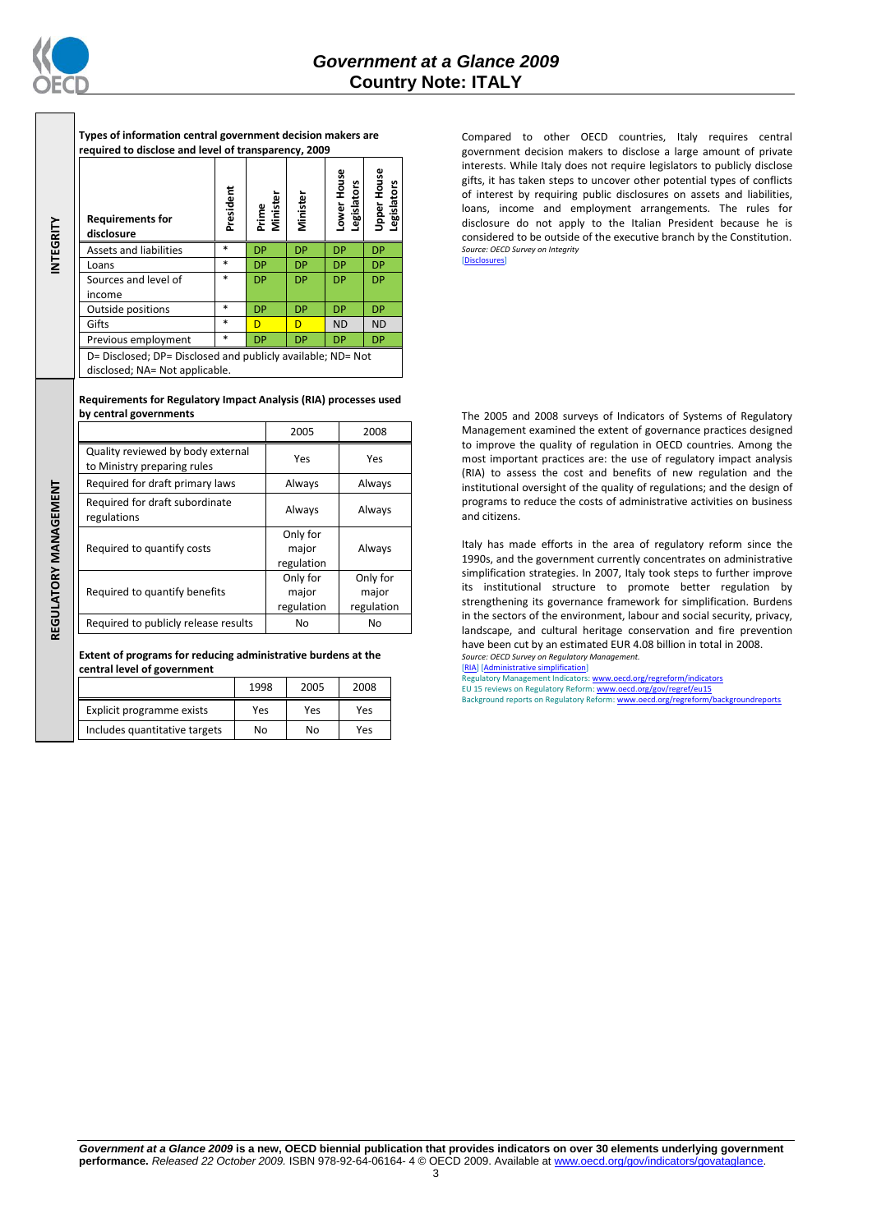

**INTEGRITY**

REGULATORY MANAGEMENT **REGULATORY MANAGEMENT**

**Types of information central government decision makers are required to disclose and level of transparency, 2009**

| <b>Requirements for</b><br>disclosure                                                         | President | Minister<br>Prime | Minister  | ower House<br>Legislators | <b>Jpper House</b><br>gislators<br>ு |
|-----------------------------------------------------------------------------------------------|-----------|-------------------|-----------|---------------------------|--------------------------------------|
| <b>Assets and liabilities</b>                                                                 | $\ast$    | <b>DP</b>         | <b>DP</b> | <b>DP</b>                 | <b>DP</b>                            |
| Loans                                                                                         | $\ast$    | <b>DP</b>         | <b>DP</b> | <b>DP</b>                 | <b>DP</b>                            |
| Sources and level of<br>income                                                                | $\ast$    | <b>DP</b>         | <b>DP</b> | <b>DP</b>                 | <b>DP</b>                            |
| Outside positions                                                                             | $\ast$    | <b>DP</b>         | <b>DP</b> | <b>DP</b>                 | <b>DP</b>                            |
| Gifts                                                                                         | $\ast$    | D                 | D         | <b>ND</b>                 | <b>ND</b>                            |
| Previous employment                                                                           | *         | <b>DP</b>         | <b>DP</b> | <b>DP</b>                 | DP.                                  |
| D= Disclosed; DP= Disclosed and publicly available; ND= Not<br>disclosed; NA= Not applicable. |           |                   |           |                           |                                      |

**Requirements for Regulatory Impact Analysis (RIA) processes used by central governments**

|                                                                  | 2005                            | 2008                            |
|------------------------------------------------------------------|---------------------------------|---------------------------------|
| Quality reviewed by body external<br>to Ministry preparing rules | Yes                             | Yes                             |
| Required for draft primary laws                                  | Always                          | Always                          |
| Required for draft subordinate<br>regulations                    | Always                          | Always                          |
| Required to quantify costs                                       | Only for<br>major<br>regulation | Always                          |
| Required to quantify benefits                                    | Only for<br>major<br>regulation | Only for<br>major<br>regulation |
| Required to publicly release results                             | No                              | No                              |

**Extent of programs for reducing administrative burdens at the central level of government**

|                               | 1998 | 2005 | 2008 |
|-------------------------------|------|------|------|
| Explicit programme exists     | Yes  | Yes  | Yes  |
| Includes quantitative targets | No   | No   | Yes  |

Compared to other OECD countries, Italy requires central government decision makers to disclose a large amount of private interests. While Italy does not require legislators to publicly disclose gifts, it has taken steps to uncover other potential types of conflicts of interest by requiring public disclosures on assets and liabilities, loans, income and employment arrangements. The rules for disclosure do not apply to the Italian President because he is considered to be outside of the executive branch by the Constitution. *Source: OECD Survey on Integrity* [\[Disclosures\]](http://dx.doi.org/10.1787/724123642681)

The 2005 and 2008 surveys of Indicators of Systems of Regulatory Management examined the extent of governance practices designed to improve the quality of regulation in OECD countries. Among the most important practices are: the use of regulatory impact analysis (RIA) to assess the cost and benefits of new regulation and the institutional oversight of the quality of regulations; and the design of programs to reduce the costs of administrative activities on business and citizens.

Italy has made efforts in the area of regulatory reform since the 1990s, and the government currently concentrates on administrative simplification strategies. In 2007, Italy took steps to further improve its institutional structure to promote better regulation by strengthening its governance framework for simplification. Burdens in the sectors of the environment, labour and social security, privacy, landscape, and cultural heritage conservation and fire prevention have been cut by an estimated EUR 4.08 billion in total in 2008. *Source: OECD Survey on Regulatory Management.*

[\[RIA\]](http://dx.doi.org/10.1787/724045144354) [\[Administrative simplification\]](http://dx.doi.org/10.1787/724058851054)<br>Regulatory Management Indicators[: www.oecd.org/regreform/indicators](http://www.oecd.org/regreform/indicators) EU 15 reviews on Regulatory Reform[: www.oecd.org/gov/regref/eu15](http://www.oecd.org/gov/regref/eu15)

Background reports on Regulatory Reform: www.oecd.org/regreform/